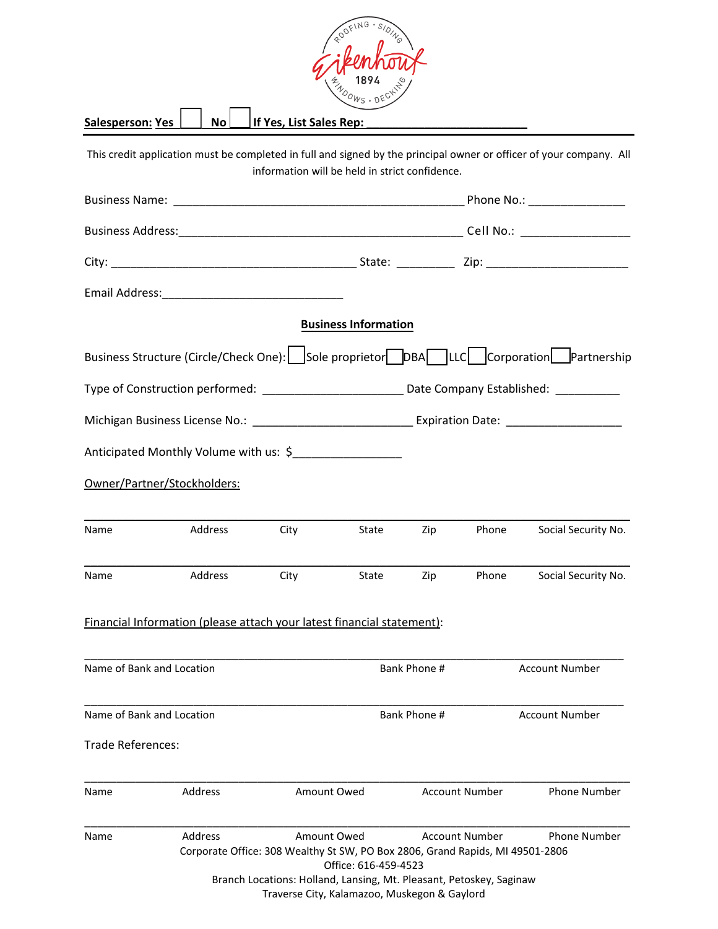| Zip          | Phone                                                                                                                                                                                                      | Social Security No.                                                                                                                                                                                                                                                                                                                                                                                                                                                                                                       |  |
|--------------|------------------------------------------------------------------------------------------------------------------------------------------------------------------------------------------------------------|---------------------------------------------------------------------------------------------------------------------------------------------------------------------------------------------------------------------------------------------------------------------------------------------------------------------------------------------------------------------------------------------------------------------------------------------------------------------------------------------------------------------------|--|
| Zip          | Phone                                                                                                                                                                                                      | Social Security No.                                                                                                                                                                                                                                                                                                                                                                                                                                                                                                       |  |
|              |                                                                                                                                                                                                            |                                                                                                                                                                                                                                                                                                                                                                                                                                                                                                                           |  |
|              |                                                                                                                                                                                                            | <b>Account Number</b>                                                                                                                                                                                                                                                                                                                                                                                                                                                                                                     |  |
| Bank Phone # |                                                                                                                                                                                                            | Account Number                                                                                                                                                                                                                                                                                                                                                                                                                                                                                                            |  |
|              |                                                                                                                                                                                                            |                                                                                                                                                                                                                                                                                                                                                                                                                                                                                                                           |  |
|              |                                                                                                                                                                                                            | <b>Phone Number</b>                                                                                                                                                                                                                                                                                                                                                                                                                                                                                                       |  |
|              |                                                                                                                                                                                                            | <b>Phone Number</b>                                                                                                                                                                                                                                                                                                                                                                                                                                                                                                       |  |
|              | <b>Business Information</b><br>Anticipated Monthly Volume with us: \$___________________<br>Financial Information (please attach your latest financial statement):<br>Bank Phone #<br>Office: 616-459-4523 | This credit application must be completed in full and signed by the principal owner or officer of your company. All<br>information will be held in strict confidence.<br>Business Structure (Circle/Check One): Sole proprietor DBA LLC Corporation Partnership<br><b>Account Number</b><br><b>Account Number</b><br>Corporate Office: 308 Wealthy St SW, PO Box 2806, Grand Rapids, MI 49501-2806<br>Branch Locations: Holland, Lansing, Mt. Pleasant, Petoskey, Saginaw<br>Traverse City, Kalamazoo, Muskegon & Gaylord |  |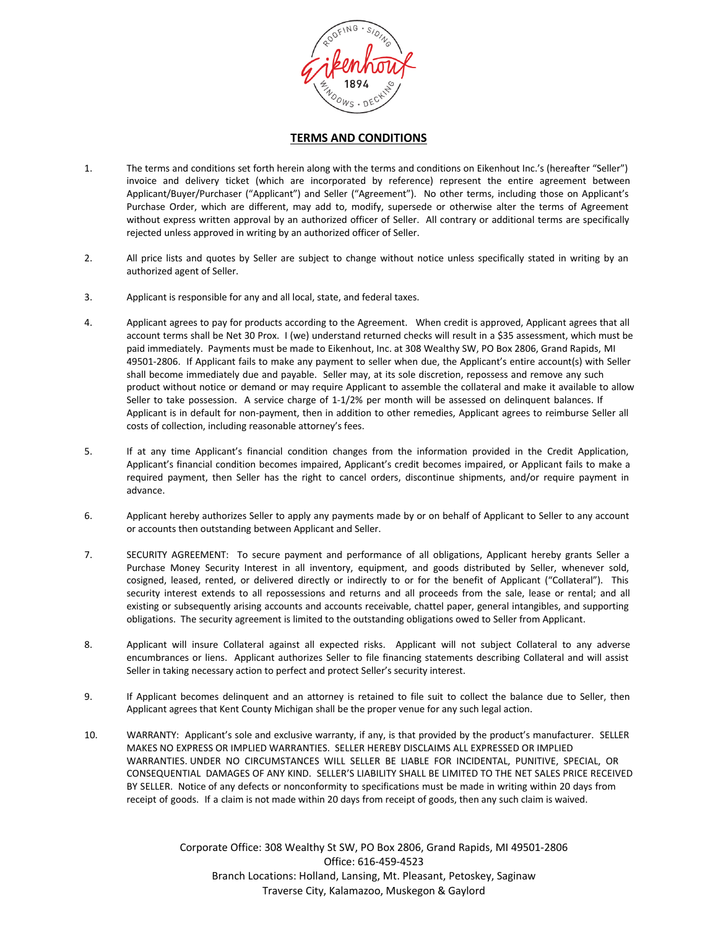

## **TERMS AND CONDITIONS**

- 1. The terms and conditions set forth herein along with the terms and conditions on Eikenhout Inc.'s (hereafter "Seller") invoice and delivery ticket (which are incorporated by reference) represent the entire agreement between Applicant/Buyer/Purchaser ("Applicant") and Seller ("Agreement"). No other terms, including those on Applicant's Purchase Order, which are different, may add to, modify, supersede or otherwise alter the terms of Agreement without express written approval by an authorized officer of Seller. All contrary or additional terms are specifically rejected unless approved in writing by an authorized officer of Seller.
- 2. All price lists and quotes by Seller are subject to change without notice unless specifically stated in writing by an authorized agent of Seller.
- 3. Applicant is responsible for any and all local, state, and federal taxes.
- 4. Applicant agrees to pay for products according to the Agreement. When credit is approved, Applicant agrees that all account terms shall be Net 30 Prox. I (we) understand returned checks will result in a \$35 assessment, which must be paid immediately. Payments must be made to Eikenhout, Inc. at 308 Wealthy SW, PO Box 2806, Grand Rapids, MI 49501-2806. If Applicant fails to make any payment to seller when due, the Applicant's entire account(s) with Seller shall become immediately due and payable. Seller may, at its sole discretion, repossess and remove any such product without notice or demand or may require Applicant to assemble the collateral and make it available to allow Seller to take possession. A service charge of 1-1/2% per month will be assessed on delinquent balances. If Applicant is in default for non-payment, then in addition to other remedies, Applicant agrees to reimburse Seller all costs of collection, including reasonable attorney's fees.
- 5. If at any time Applicant's financial condition changes from the information provided in the Credit Application, Applicant's financial condition becomes impaired, Applicant's credit becomes impaired, or Applicant fails to make a required payment, then Seller has the right to cancel orders, discontinue shipments, and/or require payment in advance.
- 6. Applicant hereby authorizes Seller to apply any payments made by or on behalf of Applicant to Seller to any account or accounts then outstanding between Applicant and Seller.
- 7. SECURITY AGREEMENT: To secure payment and performance of all obligations, Applicant hereby grants Seller a Purchase Money Security Interest in all inventory, equipment, and goods distributed by Seller, whenever sold, cosigned, leased, rented, or delivered directly or indirectly to or for the benefit of Applicant ("Collateral"). This security interest extends to all repossessions and returns and all proceeds from the sale, lease or rental; and all existing or subsequently arising accounts and accounts receivable, chattel paper, general intangibles, and supporting obligations. The security agreement is limited to the outstanding obligations owed to Seller from Applicant.
- 8. Applicant will insure Collateral against all expected risks. Applicant will not subject Collateral to any adverse encumbrances or liens. Applicant authorizes Seller to file financing statements describing Collateral and will assist Seller in taking necessary action to perfect and protect Seller's security interest.
- 9. If Applicant becomes delinquent and an attorney is retained to file suit to collect the balance due to Seller, then Applicant agrees that Kent County Michigan shall be the proper venue for any such legal action.
- 10. WARRANTY: Applicant's sole and exclusive warranty, if any, is that provided by the product's manufacturer. SELLER MAKES NO EXPRESS OR IMPLIED WARRANTIES. SELLER HEREBY DISCLAIMS ALL EXPRESSED OR IMPLIED WARRANTIES. UNDER NO CIRCUMSTANCES WILL SELLER BE LIABLE FOR INCIDENTAL, PUNITIVE, SPECIAL, OR CONSEQUENTIAL DAMAGES OF ANY KIND. SELLER'S LIABILITY SHALL BE LIMITED TO THE NET SALES PRICE RECEIVED BY SELLER. Notice of any defects or nonconformity to specifications must be made in writing within 20 days from receipt of goods. If a claim is not made within 20 days from receipt of goods, then any such claim is waived.

Corporate Office: 308 Wealthy St SW, PO Box 2806, Grand Rapids, MI 49501-2806 Office: 616-459-4523 Branch Locations: Holland, Lansing, Mt. Pleasant, Petoskey, Saginaw Traverse City, Kalamazoo, Muskegon & Gaylord